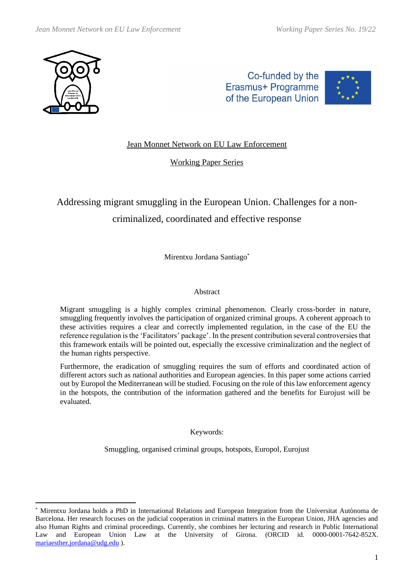

Co-funded by the Erasmus+ Programme of the European Union



# Jean Monnet Network on EU Law Enforcement

Working Paper Series

# Addressing migrant smuggling in the European Union. Challenges for a noncriminalized, coordinated and effective response

Mirentxu Jordana Santiago\*

### Abstract

Migrant smuggling is a highly complex criminal phenomenon. Clearly cross-border in nature, smuggling frequently involves the participation of organized criminal groups. A coherent approach to these activities requires a clear and correctly implemented regulation, in the case of the EU the reference regulation is the 'Facilitators' package'. In the present contribution several controversies that this framework entails will be pointed out, especially the excessive criminalization and the neglect of the human rights perspective.

Furthermore, the eradication of smuggling requires the sum of efforts and coordinated action of different actors such as national authorities and European agencies. In this paper some actions carried out by Europol the Mediterranean will be studied. Focusing on the role of this law enforcement agency in the hotspots, the contribution of the information gathered and the benefits for Eurojust will be evaluated.

Keywords:

Smuggling, organised criminal groups, hotspots, Europol, Eurojust

<sup>\*</sup> Mirentxu Jordana holds a PhD in International Relations and European Integration from the Universitat Autònoma de Barcelona. Her research focuses on the judicial cooperation in criminal matters in the European Union, JHA agencies and also Human Rights and criminal proceedings. Currently, she combines her lecturing and research in Public International Law and European Union Law at the University of Girona. (ORCID id. 0000-0001-7642-852X. [mariaesther.jordana@udg.edu](mailto:mariaesther.jordana@udg.edu) ).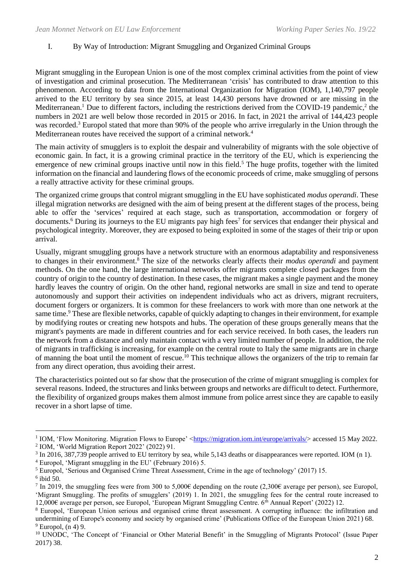# I. By Way of Introduction: Migrant Smuggling and Organized Criminal Groups

Migrant smuggling in the European Union is one of the most complex criminal activities from the point of view of investigation and criminal prosecution. The Mediterranean 'crisis' has contributed to draw attention to this phenomenon. According to data from the International Organization for Migration (IOM), 1,140,797 people arrived to the EU territory by sea since 2015, at least 14,430 persons have drowned or are missing in the Mediterranean.<sup>1</sup> Due to different factors, including the restrictions derived from the COVID-19 pandemic,<sup>2</sup> the numbers in 2021 are well below those recorded in 2015 or 2016. In fact, in 2021 the arrival of 144,423 people was recorded.<sup>3</sup> Europol stated that more than 90% of the people who arrive irregularly in the Union through the Mediterranean routes have received the support of a criminal network.<sup>4</sup>

The main activity of smugglers is to exploit the despair and vulnerability of migrants with the sole objective of economic gain. In fact, it is a growing criminal practice in the territory of the EU, which is experiencing the emergence of new criminal groups inactive until now in this field.<sup>5</sup> The huge profits, together with the limited information on the financial and laundering flows of the economic proceeds of crime, make smuggling of persons a really attractive activity for these criminal groups.

The organized crime groups that control migrant smuggling in the EU have sophisticated *modus operandi*. These illegal migration networks are designed with the aim of being present at the different stages of the process, being able to offer the 'services' required at each stage, such as transportation, accommodation or forgery of documents.<sup>6</sup> During its journeys to the EU migrants pay high fees<sup>7</sup> for services that endanger their physical and psychological integrity. Moreover, they are exposed to being exploited in some of the stages of their trip or upon arrival.

Usually, migrant smuggling groups have a network structure with an enormous adaptability and responsiveness to changes in their environment. <sup>8</sup> The size of the networks clearly affects their *modus operandi* and payment methods. On the one hand, the large international networks offer migrants complete closed packages from the country of origin to the country of destination. In these cases, the migrant makes a single payment and the money hardly leaves the country of origin. On the other hand, regional networks are small in size and tend to operate autonomously and support their activities on independent individuals who act as drivers, migrant recruiters, document forgers or organizers. It is common for these freelancers to work with more than one network at the same time.<sup>9</sup> These are flexible networks, capable of quickly adapting to changes in their environment, for example by modifying routes or creating new hotspots and hubs. The operation of these groups generally means that the migrant's payments are made in different countries and for each service received. In both cases, the leaders run the network from a distance and only maintain contact with a very limited number of people. In addition, the role of migrants in trafficking is increasing, for example on the central route to Italy the same migrants are in charge of manning the boat until the moment of rescue.<sup>10</sup> This technique allows the organizers of the trip to remain far from any direct operation, thus avoiding their arrest.

The characteristics pointed out so far show that the prosecution of the crime of migrant smuggling is complex for several reasons. Indeed, the structures and links between groups and networks are difficult to detect. Furthermore, the flexibility of organized groups makes them almost immune from police arrest since they are capable to easily recover in a short lapse of time.

<sup>&</sup>lt;sup>1</sup> IOM, 'Flow Monitoring. Migration Flows to Europe' [<https://migration.iom.int/europe/arrivals/>](https://migration.iom.int/europe/arrivals/) accessed 15 May 2022. 2 IOM, 'World Migration Report 2022' (2022) 91.

<sup>&</sup>lt;sup>3</sup> In 2016, 387,739 people arrived to EU territory by sea, while 5,143 deaths or disappearances were reported. IOM (n 1).

<sup>4</sup> Europol, 'Migrant smuggling in the EU' (February 2016) 5.

<sup>5</sup> Europol, 'Serious and Organised Crime Threat Assessment, Crime in the age of technology' (2017) 15.

<sup>6</sup> ibid 50.

In 2019, the smuggling fees were from 300 to 5,000€ depending on the route (2,300€ average per person), see Europol, 'Migrant Smuggling. The profits of smugglers' (2019) 1. In 2021, the smuggling fees for the central route increased to 12,000€ average per person, see Europol, 'European Migrant Smuggling Centre. 6th Annual Report' (2022) 12.

<sup>8</sup> Europol, 'European Union serious and organised crime threat assessment. A corrupting influence: the infiltration and undermining of Europe's economy and society by organised crime' (Publications Office of the European Union 2021) 68.  $<sup>9</sup>$  Europol, (n 4) 9.</sup>

<sup>&</sup>lt;sup>10</sup> UNODC, 'The Concept of 'Financial or Other Material Benefit' in the Smuggling of Migrants Protocol' (Issue Paper 2017) 38.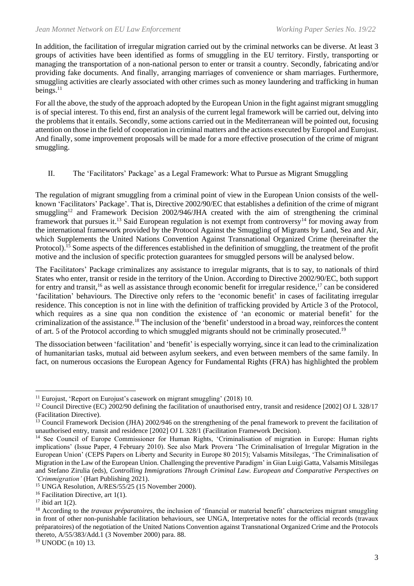In addition, the facilitation of irregular migration carried out by the criminal networks can be diverse. At least 3 groups of activities have been identified as forms of smuggling in the EU territory. Firstly, transporting or managing the transportation of a non-national person to enter or transit a country. Secondly, fabricating and/or providing fake documents. And finally, arranging marriages of convenience or sham marriages. Furthermore, smuggling activities are clearly associated with other crimes such as money laundering and trafficking in human beings.<sup>11</sup>

For all the above, the study of the approach adopted by the European Union in the fight against migrant smuggling is of special interest. To this end, first an analysis of the current legal framework will be carried out, delving into the problems that it entails. Secondly, some actions carried out in the Mediterranean will be pointed out, focusing attention on those in the field of cooperation in criminal matters and the actions executed by Europol and Eurojust. And finally, some improvement proposals will be made for a more effective prosecution of the crime of migrant smuggling.

# II. The 'Facilitators' Package' as a Legal Framework: What to Pursue as Migrant Smuggling

The regulation of migrant smuggling from a criminal point of view in the European Union consists of the wellknown 'Facilitators' Package'. That is, Directive 2002/90/EC that establishes a definition of the crime of migrant smuggling<sup>12</sup> and Framework Decision 2002/946/JHA created with the aim of strengthening the criminal framework that pursues it.<sup>13</sup> Said European regulation is not exempt from controversy<sup>14</sup> for moving away from the international framework provided by the Protocol Against the Smuggling of Migrants by Land, Sea and Air, which Supplements the United Nations Convention Against Transnational Organized Crime (hereinafter the Protocol).<sup>15</sup> Some aspects of the differences established in the definition of smuggling, the treatment of the profit motive and the inclusion of specific protection guarantees for smuggled persons will be analysed below.

The Facilitators' Package criminalizes any assistance to irregular migrants, that is to say, to nationals of third States who enter, transit or reside in the territory of the Union. According to Directive 2002/90/EC, both support for entry and transit,<sup>16</sup> as well as assistance through economic benefit for irregular residence,<sup>17</sup> can be considered 'facilitation' behaviours. The Directive only refers to the 'economic benefit' in cases of facilitating irregular residence. This conception is not in line with the definition of trafficking provided by Article 3 of the Protocol, which requires as a sine qua non condition the existence of 'an economic or material benefit' for the criminalization of the assistance.<sup>18</sup> The inclusion of the 'benefit' understood in a broad way, reinforces the content of art. 5 of the Protocol according to which smuggled migrants should not be criminally prosecuted.<sup>19</sup>

The dissociation between 'facilitation' and 'benefit' is especially worrying, since it can lead to the criminalization of humanitarian tasks, mutual aid between asylum seekers, and even between members of the same family. In fact, on numerous occasions the European Agency for Fundamental Rights (FRA) has highlighted the problem

<sup>&</sup>lt;sup>11</sup> Eurojust, 'Report on Eurojust's casework on migrant smuggling' (2018) 10.

<sup>&</sup>lt;sup>12</sup> Council Directive (EC) 2002/90 defining the facilitation of unauthorised entry, transit and residence [2002] OJ L 328/17 (Facilitation Directive).

<sup>&</sup>lt;sup>13</sup> Council Framework Decision (JHA) 2002/946 on the strengthening of the penal framework to prevent the facilitation of unauthorised entry, transit and residence [2002] OJ L 328/1 (Facilitation Framework Decision)*.*

<sup>&</sup>lt;sup>14</sup> See Council of Europe Commissioner for Human Rights, 'Criminalisation of migration in Europe: Human rights implications' (Issue Paper, 4 February 2010). See also Mark Provera 'The Criminalisation of Irregular Migration in the European Union' (CEPS Papers on Liberty and Security in Europe 80 2015); Valsamis Mitsilegas, 'The Criminalisation of Migration in the Law of the European Union. Challenging the preventive Paradigm' in Gian Luigi Gatta, Valsamis Mitsilegas and Stefano Zirulia (eds), *Controlling Immigrations Through Criminal Law. European and Comparative Perspectives on 'Crimmigration'* (Hart Publishing 2021).

<sup>&</sup>lt;sup>15</sup> UNGA Resolution, A/RES/55/25 (15 November 2000).

<sup>&</sup>lt;sup>16</sup> Facilitation Directive, art 1(1).

 $17$  ibid art  $1(2)$ .

<sup>&</sup>lt;sup>18</sup> According to the *travaux préparatoires*, the inclusion of 'financial or material benefit' characterizes migrant smuggling in front of other non-punishable facilitation behaviours, see UNGA, Interpretative notes for the official records (travaux préparatoires) of the negotiation of the United Nations Convention against Transnational Organized Crime and the Protocols thereto, A/55/383/Add.1 (3 November 2000) para. 88.

<sup>19</sup> UNODC (n 10) 13.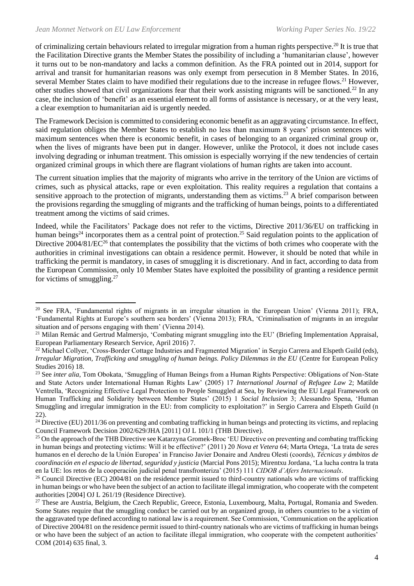of criminalizing certain behaviours related to irregular migration from a human rights perspective.<sup>20</sup> It is true that the Facilitation Directive grants the Member States the possibility of including a 'humanitarian clause', however it turns out to be non-mandatory and lacks a common definition. As the FRA pointed out in 2014, support for arrival and transit for humanitarian reasons was only exempt from persecution in 8 Member States. In 2016, several Member States claim to have modified their regulations due to the increase in refugee flows.<sup>21</sup> However, other studies showed that civil organizations fear that their work assisting migrants will be sanctioned.<sup>22</sup> In any case, the inclusion of 'benefit' as an essential element to all forms of assistance is necessary, or at the very least, a clear exemption to humanitarian aid is urgently needed.

The Framework Decision is committed to considering economic benefit as an aggravating circumstance. In effect, said regulation obliges the Member States to establish no less than maximum 8 years' prison sentences with maximum sentences when there is economic benefit, in cases of belonging to an organized criminal group or, when the lives of migrants have been put in danger. However, unlike the Protocol, it does not include cases involving degrading or inhuman treatment. This omission is especially worrying if the new tendencies of certain organized criminal groups in which there are flagrant violations of human rights are taken into account.

The current situation implies that the majority of migrants who arrive in the territory of the Union are victims of crimes, such as physical attacks, rape or even exploitation. This reality requires a regulation that contains a sensitive approach to the protection of migrants, understanding them as victims.<sup>23</sup> A brief comparison between the provisions regarding the smuggling of migrants and the trafficking of human beings, points to a differentiated treatment among the victims of said crimes.

Indeed, while the Facilitators' Package does not refer to the victims, Directive 2011/36/EU on trafficking in human beings<sup>24</sup> incorporates them as a central point of protection.<sup>25</sup> Said regulation points to the application of Directive  $2004/81/EC^{26}$  that contemplates the possibility that the victims of both crimes who cooperate with the authorities in criminal investigations can obtain a residence permit. However, it should be noted that while in trafficking the permit is mandatory, in cases of smuggling it is discretionary. And in fact, according to data from the European Commission, only 10 Member States have exploited the possibility of granting a residence permit for victims of smuggling. 27

<sup>&</sup>lt;sup>20</sup> See FRA, 'Fundamental rights of migrants in an irregular situation in the European Union' (Vienna 2011); FRA, 'Fundamental Rights at Europe's southern sea borders' (Vienna 2013); FRA, 'Criminalisation of migrants in an irregular situation and of persons engaging with them' (Vienna 2014).

 $21$  Milan Remác and Gertrud Malmersjo, 'Combating migrant smuggling into the EU' (Briefing Implementation Appraisal, European Parliamentary Research Service, April 2016) 7.

<sup>&</sup>lt;sup>22</sup> Michael Collyer, 'Cross-Border Cottage Industries and Fragmented Migration' in Sergio Carrera and Elspeth Guild (eds), *Irregular Migration, Trafficking and smuggling of human beings. Policy Dilemmas in the EU* (Centre for European Policy Studies 2016) 18.

<sup>&</sup>lt;sup>23</sup> See *inter alia*, Tom Obokata, 'Smuggling of Human Beings from a Human Rights Perspective: Obligations of Non-State and State Actors under International Human Rights Law' (2005) 17 *International Journal of Refugee Law* 2; Matilde Ventrella, 'Recognizing Effective Legal Protection to People Smuggled at Sea, by Reviewing the EU Legal Framework on Human Trafficking and Solidarity between Member States' (2015) 1 *Social Inclusion* 3; Alessandro Spena, 'Human Smuggling and irregular immigration in the EU: from complicity to exploitation?' in Sergio Carrera and Elspeth Guild (n 22).

<sup>&</sup>lt;sup>24</sup> Directive (EU) 2011/36 on preventing and combating trafficking in human beings and protecting its victims, and replacing Council Framework Decision 2002/629/JHA [2011] OJ L 101/1 (THB Directive).

<sup>&</sup>lt;sup>25</sup> On the approach of the THB Directive see Katarzyna Gromek-Broc 'EU Directive on preventing and combating trafficking in human beings and protecting victims: Will it be effective?' (2011) 20 *Nova et Vetera* 64; Marta Ortega, 'La trata de seres humanos en el derecho de la Unión Europea' in Franciso Javier Donaire and Andreu Olesti (coords), *Técnicas y ámbitos de coordinación en el espacio de libertad, seguridad y justicia* (Marcial Pons 2015); Mirentxu Jordana, 'La lucha contra la trata en la UE: los retos de la cooperación judicial penal transfronteriza' (2015) 111 *CIDOB d'Afers Internacionals*.

<sup>&</sup>lt;sup>26</sup> Council Directive (EC) 2004/81 on the residence permit issued to third-country nationals who are victims of trafficking in human beings or who have been the subject of an action to facilitate illegal immigration, who cooperate with the competent authorities [2004] OJ L 261/19 (Residence Directive).

<sup>&</sup>lt;sup>27</sup> These are Austria, Belgium, the Czech Republic, Greece, Estonia, Luxembourg, Malta, Portugal, Romania and Sweden. Some States require that the smuggling conduct be carried out by an organized group, in others countries to be a victim of the aggravated type defined according to national law is a requirement. See Commission, 'Communication on the application of Directive 2004/81 on the residence permit issued to third-country nationals who are victims of trafficking in human beings or who have been the subject of an action to facilitate illegal immigration, who cooperate with the competent authorities' COM (2014) 635 final, 3.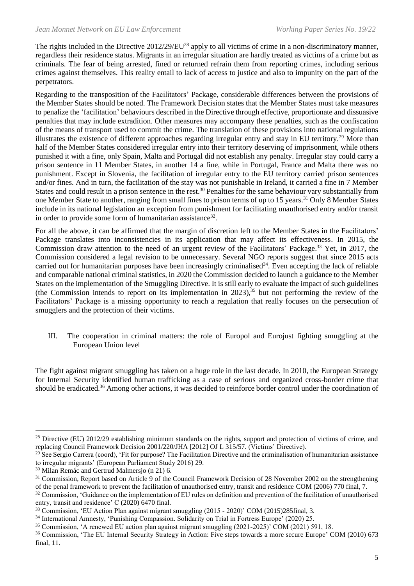The rights included in the Directive 2012/29/EU<sup>28</sup> apply to all victims of crime in a non-discriminatory manner, regardless their residence status. Migrants in an irregular situation are hardly treated as victims of a crime but as criminals. The fear of being arrested, fined or returned refrain them from reporting crimes, including serious crimes against themselves. This reality entail to lack of access to justice and also to impunity on the part of the perpetrators.

Regarding to the transposition of the Facilitators' Package, considerable differences between the provisions of the Member States should be noted. The Framework Decision states that the Member States must take measures to penalize the 'facilitation' behaviours described in the Directive through effective, proportionate and dissuasive penalties that may include extradition. Other measures may accompany these penalties, such as the confiscation of the means of transport used to commit the crime. The translation of these provisions into national regulations illustrates the existence of different approaches regarding irregular entry and stay in EU territory.<sup>29</sup> More than half of the Member States considered irregular entry into their territory deserving of imprisonment, while others punished it with a fine, only Spain, Malta and Portugal did not establish any penalty. Irregular stay could carry a prison sentence in 11 Member States, in another 14 a fine, while in Portugal, France and Malta there was no punishment. Except in Slovenia, the facilitation of irregular entry to the EU territory carried prison sentences and/or fines. And in turn, the facilitation of the stay was not punishable in Ireland, it carried a fine in 7 Member States and could result in a prison sentence in the rest.<sup>30</sup> Penalties for the same behaviour vary substantially from one Member State to another, ranging from small fines to prison terms of up to 15 years.<sup>31</sup> Only 8 Member States include in its national legislation an exception from punishment for facilitating unauthorised entry and/or transit in order to provide some form of humanitarian assistance $32$ .

For all the above, it can be affirmed that the margin of discretion left to the Member States in the Facilitators' Package translates into inconsistencies in its application that may affect its effectiveness. In 2015, the Commission draw attention to the need of an urgent review of the Facilitators' Package.<sup>33</sup> Yet, in 2017, the Commission considered a legal revision to be unnecessary. Several NGO reports suggest that since 2015 acts carried out for humanitarian purposes have been increasingly criminalised<sup>34</sup>. Even accepting the lack of reliable and comparable national criminal statistics, in 2020 the Commission decided to launch a guidance to the Member States on the implementation of the Smuggling Directive. It is still early to evaluate the impact of such guidelines (the Commission intends to report on its implementation in 2023), <sup>35</sup> but not performing the review of the Facilitators' Package is a missing opportunity to reach a regulation that really focuses on the persecution of smugglers and the protection of their victims.

III. The cooperation in criminal matters: the role of Europol and Eurojust fighting smuggling at the European Union level

The fight against migrant smuggling has taken on a huge role in the last decade. In 2010, the European Strategy for Internal Security identified human trafficking as a case of serious and organized cross-border crime that should be eradicated.<sup>36</sup> Among other actions, it was decided to reinforce border control under the coordination of

<sup>&</sup>lt;sup>28</sup> Directive (EU) 2012/29 establishing minimum standards on the rights, support and protection of victims of crime, and replacing Council Framework Decision 2001/220/JHA [2012] OJ L 315/57. (Victims' Directive).

<sup>&</sup>lt;sup>29</sup> See Sergio Carrera (coord), 'Fit for purpose? The Facilitation Directive and the criminalisation of humanitarian assistance to irregular migrants' (European Parliament Study 2016) 29.

<sup>30</sup> Milan Remác and Gertrud Malmersjo (n 21) 6.

<sup>&</sup>lt;sup>31</sup> Commission, Report based on Article 9 of the Council Framework Decision of 28 November 2002 on the strengthening of the penal framework to prevent the facilitation of unauthorised entry, transit and residence COM (2006) 770 final, 7.

<sup>&</sup>lt;sup>32</sup> Commission, 'Guidance on the implementation of EU rules on definition and prevention of the facilitation of unauthorised entry, transit and residence' C (2020) 6470 final.

<sup>&</sup>lt;sup>33</sup> Commission, 'EU Action Plan against migrant smuggling (2015 - 2020)' COM (2015)285final, 3.

<sup>34</sup> International Amnesty, 'Punishing Compassion. Solidarity on Trial in Fortress Europe' (2020) 25.

<sup>&</sup>lt;sup>35</sup> Commission, 'A renewed EU action plan against migrant smuggling (2021-2025)' COM (2021) 591, 18.

<sup>&</sup>lt;sup>36</sup> Commission, 'The EU Internal Security Strategy in Action: Five steps towards a more secure Europe' COM (2010) 673 final, 11.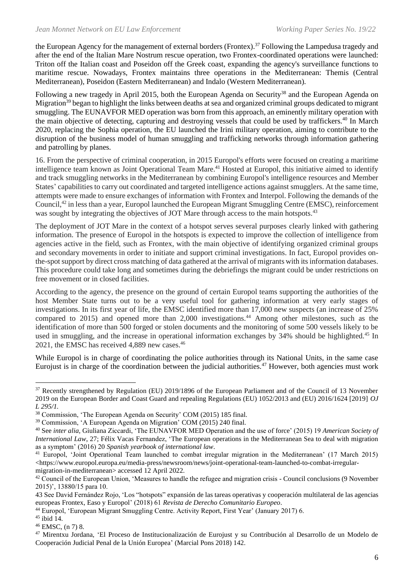the European Agency for the management of external borders (Frontex).<sup>37</sup> Following the Lampedusa tragedy and after the end of the Italian Mare Nostrum rescue operation, two Frontex-coordinated operations were launched: Triton off the Italian coast and Poseidon off the Greek coast, expanding the agency's surveillance functions to maritime rescue. Nowadays, Frontex maintains three operations in the Mediterranean: Themis (Central Mediterranean), Poseidon (Eastern Mediterranean) and Indalo (Western Mediterranean).

Following a new tragedy in April 2015, both the European Agenda on Security<sup>38</sup> and the European Agenda on Migration<sup>39</sup> began to highlight the links between deaths at sea and organized criminal groups dedicated to migrant smuggling. The EUNAVFOR MED operation was born from this approach, an eminently military operation with the main objective of detecting, capturing and destroying vessels that could be used by traffickers.<sup>40</sup> In March 2020, replacing the Sophia operation, the EU launched the Irini military operation, aiming to contribute to the disruption of the business model of human smuggling and trafficking networks through information gathering and patrolling by planes.

16. From the perspective of criminal cooperation, in 2015 Europol's efforts were focused on creating a maritime intelligence team known as Joint Operational Team Mare.<sup>41</sup> Hosted at Europol, this initiative aimed to identify and track smuggling networks in the Mediterranean by combining Europol's intelligence resources and Member States' capabilities to carry out coordinated and targeted intelligence actions against smugglers. At the same time, attempts were made to ensure exchanges of information with Frontex and Interpol. Following the demands of the Council,<sup>42</sup> in less than a year, Europol launched the European Migrant Smuggling Centre (EMSC), reinforcement was sought by integrating the objectives of JOT Mare through access to the main hotspots.<sup>43</sup>

The deployment of JOT Mare in the context of a hotspot serves several purposes clearly linked with gathering information. The presence of Europol in the hotspots is expected to improve the collection of intelligence from agencies active in the field, such as Frontex, with the main objective of identifying organized criminal groups and secondary movements in order to initiate and support criminal investigations. In fact, Europol provides onthe-spot support by direct cross matching of data gathered at the arrival of migrants with its information databases. This procedure could take long and sometimes during the debriefings the migrant could be under restrictions on free movement or in closed facilities.

According to the agency, the presence on the ground of certain Europol teams supporting the authorities of the host Member State turns out to be a very useful tool for gathering information at very early stages of investigations. In its first year of life, the EMSC identified more than 17,000 new suspects (an increase of 25% compared to 2015) and opened more than 2,000 investigations.<sup>44</sup> Among other milestones, such as the identification of more than 500 forged or stolen documents and the monitoring of some 500 vessels likely to be used in smuggling, and the increase in operational information exchanges by 34% should be highlighted.<sup>45</sup> In 2021, the EMSC has received 4,889 new cases. 46

While Europol is in charge of coordinating the police authorities through its National Units, in the same case Eurojust is in charge of the coordination between the judicial authorities.<sup>47</sup> However, both agencies must work

<sup>&</sup>lt;sup>37</sup> Recently strengthened by Regulation (EU) 2019/1896 of the European Parliament and of the Council of 13 November 2019 on the European Border and Coast Guard and repealing Regulations (EU) 1052/2013 and (EU) 2016/1624 [2019] *OJ L 295/1.*

<sup>38</sup> Commission, 'The European Agenda on Security' COM (2015) 185 final.

<sup>39</sup> Commission, 'A European Agenda on Migration' COM (2015) 240 final.

<sup>40</sup> See *inter alia,* Giuliana Ziccardi, 'The EUNAVFOR MED Operation and the use of force' (2015) 19 *American Society of International Law*, 27; Félix Vacas Fernandez, 'The European operations in the Mediterranean Sea to deal with migration as a symptom' (2016) 20 *Spanish yearbook of international law*.

<sup>&</sup>lt;sup>41</sup> Europol, 'Joint Operational Team launched to combat irregular migration in the Mediterranean' (17 March 2015)  $\langle$ https://www.europol.europa.eu/media-press/newsroom/news/joint-operational-team-launched-to-combat-irregularmigration-in-mediterranean> accessed 12 April 2022.

 $42$  Council of the European Union, 'Measures to handle the refugee and migration crisis - Council conclusions (9 November 2015)', 13880/15 para 10.

<sup>43</sup> See David Fernández Rojo, 'Los "hotspots" expansión de las tareas operativas y cooperación multilateral de las agencias europeas Frontex, Easo y Europol' (2018) 61 *Revista de Derecho Comunitario Europeo*.

<sup>44</sup> Europol, 'European Migrant Smuggling Centre. Activity Report, First Year' (January 2017) 6.

 $45$  ibid 14.

<sup>46</sup> EMSC, (n 7) 8.

<sup>47</sup> Mirentxu Jordana, 'El Proceso de Institucionalización de Eurojust y su Contribución al Desarrollo de un Modelo de Cooperación Judicial Penal de la Unión Europea' (Marcial Pons 2018) 142.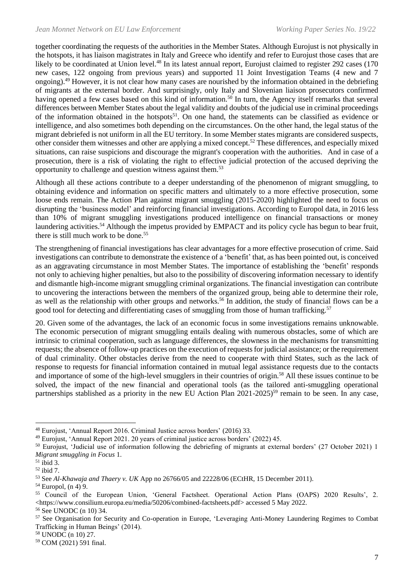together coordinating the requests of the authorities in the Member States. Although Eurojust is not physically in the hotspots, it has liaison magistrates in Italy and Greece who identify and refer to Eurojust those cases that are likely to be coordinated at Union level.<sup>48</sup> In its latest annual report, Eurojust claimed to register 292 cases (170) new cases, 122 ongoing from previous years) and supported 11 Joint Investigation Teams (4 new and 7 ongoing).<sup>49</sup> However, it is not clear how many cases are nourished by the information obtained in the debriefing of migrants at the external border. And surprisingly, only Italy and Slovenian liaison prosecutors confirmed having opened a few cases based on this kind of information.<sup>50</sup> In turn, the Agency itself remarks that several differences between Member States about the legal validity and doubts of the judicial use in criminal proceedings of the information obtained in the hotspots<sup>51</sup>. On one hand, the statements can be classified as evidence or intelligence, and also sometimes both depending on the circumstances. On the other hand, the legal status of the migrant debriefed is not uniform in all the EU territory. In some Member states migrants are considered suspects, other consider them witnesses and other are applying a mixed concept.<sup>52</sup> These differences, and especially mixed situations, can raise suspicions and discourage the migrant's cooperation with the authorities. And in case of a prosecution, there is a risk of violating the right to effective judicial protection of the accused depriving the opportunity to challenge and question witness against them.<sup>53</sup>

Although all these actions contribute to a deeper understanding of the phenomenon of migrant smuggling, to obtaining evidence and information on specific matters and ultimately to a more effective prosecution, some loose ends remain. The Action Plan against migrant smuggling (2015-2020) highlighted the need to focus on disrupting the 'business model' and reinforcing financial investigations. According to Europol data, in 2016 less than 10% of migrant smuggling investigations produced intelligence on financial transactions or money laundering activities.<sup>54</sup> Although the impetus provided by EMPACT and its policy cycle has begun to bear fruit, there is still much work to be done.<sup>55</sup>

The strengthening of financial investigations has clear advantages for a more effective prosecution of crime. Said investigations can contribute to demonstrate the existence of a 'benefit' that, as has been pointed out, is conceived as an aggravating circumstance in most Member States. The importance of establishing the 'benefit' responds not only to achieving higher penalties, but also to the possibility of discovering information necessary to identify and dismantle high-income migrant smuggling criminal organizations. The financial investigation can contribute to uncovering the interactions between the members of the organized group, being able to determine their role, as well as the relationship with other groups and networks.<sup>56</sup> In addition, the study of financial flows can be a good tool for detecting and differentiating cases of smuggling from those of human trafficking.<sup>57</sup>

20. Given some of the advantages, the lack of an economic focus in some investigations remains unknowable. The economic persecution of migrant smuggling entails dealing with numerous obstacles, some of which are intrinsic to criminal cooperation, such as language differences, the slowness in the mechanisms for transmitting requests; the absence of follow-up practices on the execution of requests for judicial assistance; or the requirement of dual criminality. Other obstacles derive from the need to cooperate with third States, such as the lack of response to requests for financial information contained in mutual legal assistance requests due to the contacts and importance of some of the high-level smugglers in their countries of origin.<sup>58</sup> All these issues continue to be solved, the impact of the new financial and operational tools (as the tailored anti-smuggling operational partnerships stablished as a priority in the new EU Action Plan 2021-2025)<sup>59</sup> remain to be seen. In any case,

<sup>48</sup> Eurojust, 'Annual Report 2016. Criminal Justice across borders' (2016) 33.

<sup>49</sup> Eurojust, 'Annual Report 2021. 20 years of criminal justice across borders' (2022) 45.

<sup>50</sup> Eurojust, 'Judicial use of information following the debriefing of migrants at external borders' (27 October 2021) 1 *Migrant smuggling in Focus* 1.

 $51$  ibid 3.

<sup>52</sup> ibid 7.

<sup>53</sup> See *Al-Khawaja and Thaery v. UK* App no 26766/05 and 22228/06 (ECtHR, 15 December 2011).

 $54$  Europol, (n 4) 9.

<sup>55</sup> Council of the European Union, 'General Factsheet. Operational Action Plans (OAPS) 2020 Results', 2. <https://www.consilium.europa.eu/media/50206/combined-factsheets.pdf> accessed 5 May 2022. <sup>56</sup> See UNODC (n 10) 34.

<sup>57</sup> See Organisation for Security and Co-operation in Europe, 'Leveraging Anti-Money Laundering Regimes to Combat Trafficking in Human Beings' (2014).

<sup>58</sup> UNODC (n 10) 27.

<sup>59</sup> COM (2021) 591 final.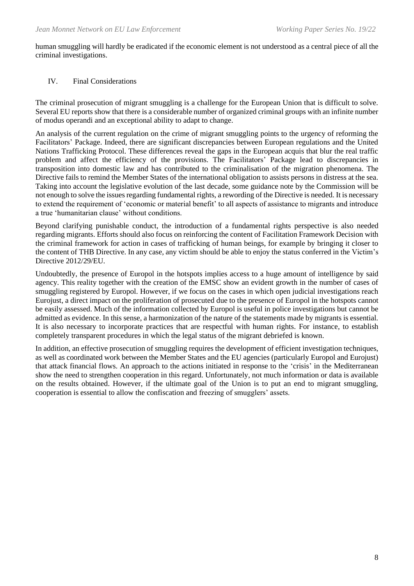human smuggling will hardly be eradicated if the economic element is not understood as a central piece of all the criminal investigations.

### IV. Final Considerations

The criminal prosecution of migrant smuggling is a challenge for the European Union that is difficult to solve. Several EU reports show that there is a considerable number of organized criminal groups with an infinite number of modus operandi and an exceptional ability to adapt to change.

An analysis of the current regulation on the crime of migrant smuggling points to the urgency of reforming the Facilitators' Package. Indeed, there are significant discrepancies between European regulations and the United Nations Trafficking Protocol. These differences reveal the gaps in the European acquis that blur the real traffic problem and affect the efficiency of the provisions. The Facilitators' Package lead to discrepancies in transposition into domestic law and has contributed to the criminalisation of the migration phenomena. The Directive fails to remind the Member States of the international obligation to assists persons in distress at the sea. Taking into account the legislative evolution of the last decade, some guidance note by the Commission will be not enough to solve the issues regarding fundamental rights, a rewording of the Directive is needed. It is necessary to extend the requirement of 'economic or material benefit' to all aspects of assistance to migrants and introduce a true 'humanitarian clause' without conditions.

Beyond clarifying punishable conduct, the introduction of a fundamental rights perspective is also needed regarding migrants. Efforts should also focus on reinforcing the content of Facilitation Framework Decision with the criminal framework for action in cases of trafficking of human beings, for example by bringing it closer to the content of THB Directive. In any case, any victim should be able to enjoy the status conferred in the Victim's Directive 2012/29/EU.

Undoubtedly, the presence of Europol in the hotspots implies access to a huge amount of intelligence by said agency. This reality together with the creation of the EMSC show an evident growth in the number of cases of smuggling registered by Europol. However, if we focus on the cases in which open judicial investigations reach Eurojust, a direct impact on the proliferation of prosecuted due to the presence of Europol in the hotspots cannot be easily assessed. Much of the information collected by Europol is useful in police investigations but cannot be admitted as evidence. In this sense, a harmonization of the nature of the statements made by migrants is essential. It is also necessary to incorporate practices that are respectful with human rights. For instance, to establish completely transparent procedures in which the legal status of the migrant debriefed is known.

In addition, an effective prosecution of smuggling requires the development of efficient investigation techniques, as well as coordinated work between the Member States and the EU agencies (particularly Europol and Eurojust) that attack financial flows. An approach to the actions initiated in response to the 'crisis' in the Mediterranean show the need to strengthen cooperation in this regard. Unfortunately, not much information or data is available on the results obtained. However, if the ultimate goal of the Union is to put an end to migrant smuggling, cooperation is essential to allow the confiscation and freezing of smugglers' assets.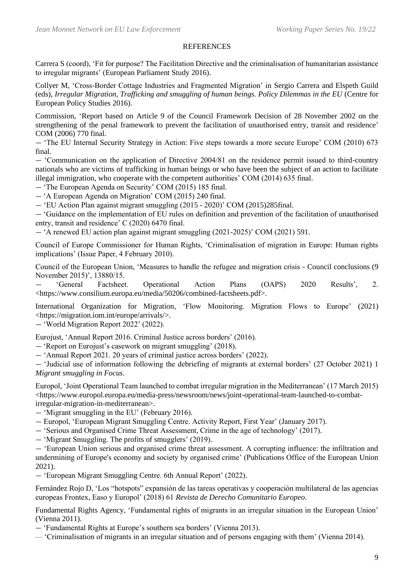#### **REFERENCES**

Carrera S (coord), 'Fit for purpose? The Facilitation Directive and the criminalisation of humanitarian assistance to irregular migrants' (European Parliament Study 2016).

Collyer M, 'Cross-Border Cottage Industries and Fragmented Migration' in Sergio Carrera and Elspeth Guild (eds), *Irregular Migration, Trafficking and smuggling of human beings. Policy Dilemmas in the EU* (Centre for European Policy Studies 2016).

Commission, 'Report based on Article 9 of the Council Framework Decision of 28 November 2002 on the strengthening of the penal framework to prevent the facilitation of unauthorised entry, transit and residence' COM (2006) 770 final.

— 'The EU Internal Security Strategy in Action: Five steps towards a more secure Europe' COM (2010) 673 final.

— 'Communication on the application of Directive 2004/81 on the residence permit issued to third-country nationals who are victims of trafficking in human beings or who have been the subject of an action to facilitate illegal immigration, who cooperate with the competent authorities' COM (2014) 635 final.

— 'The European Agenda on Security' COM (2015) 185 final.

— 'A European Agenda on Migration' COM (2015) 240 final.

— 'EU Action Plan against migrant smuggling (2015 - 2020)' COM (2015)285final.

— 'Guidance on the implementation of EU rules on definition and prevention of the facilitation of unauthorised entry, transit and residence' C (2020) 6470 final.

— 'A renewed EU action plan against migrant smuggling (2021-2025)' COM (2021) 591.

Council of Europe Commissioner for Human Rights, 'Criminalisation of migration in Europe: Human rights implications' (Issue Paper, 4 February 2010).

Council of the European Union, 'Measures to handle the refugee and migration crisis - Council conclusions (9 November 2015)', 13880/15.

— 'General Factsheet. Operational Action Plans (OAPS) 2020 Results', 2. <https://www.consilium.europa.eu/media/50206/combined-factsheets.pdf>.

International Organization for Migration, 'Flow Monitoring. Migration Flows to Europe' (2021) <https://migration.iom.int/europe/arrivals/>.

— 'World Migration Report 2022' (2022).

Eurojust, 'Annual Report 2016. Criminal Justice across borders' (2016).

— 'Report on Eurojust's casework on migrant smuggling' (2018).

— 'Annual Report 2021. 20 years of criminal justice across borders' (2022).

— 'Judicial use of information following the debriefing of migrants at external borders' (27 October 2021) 1 *Migrant smuggling in Focus*.

Europol, 'Joint Operational Team launched to combat irregular migration in the Mediterranean' (17 March 2015) <https://www.europol.europa.eu/media-press/newsroom/news/joint-operational-team-launched-to-combatirregular-migration-in-mediterranean>.

— 'Migrant smuggling in the EU' (February 2016).

- Europol, 'European Migrant Smuggling Centre. Activity Report, First Year' (January 2017).
- 'Serious and Organised Crime Threat Assessment, Crime in the age of technology' (2017).
- 'Migrant Smuggling. The profits of smugglers' (2019).

— 'European Union serious and organised crime threat assessment. A corrupting influence: the infiltration and undermining of Europe's economy and society by organised crime' (Publications Office of the European Union 2021).

— 'European Migrant Smuggling Centre. 6th Annual Report' (2022).

Fernández Rojo D, 'Los "hotspots" expansión de las tareas operativas y cooperación multilateral de las agencias europeas Frontex, Easo y Europol' (2018) 61 *Revista de Derecho Comunitario Europeo*.

Fundamental Rights Agency, 'Fundamental rights of migrants in an irregular situation in the European Union' (Vienna 2011).

— 'Fundamental Rights at Europe's southern sea borders' (Vienna 2013).

— 'Criminalisation of migrants in an irregular situation and of persons engaging with them' (Vienna 2014).